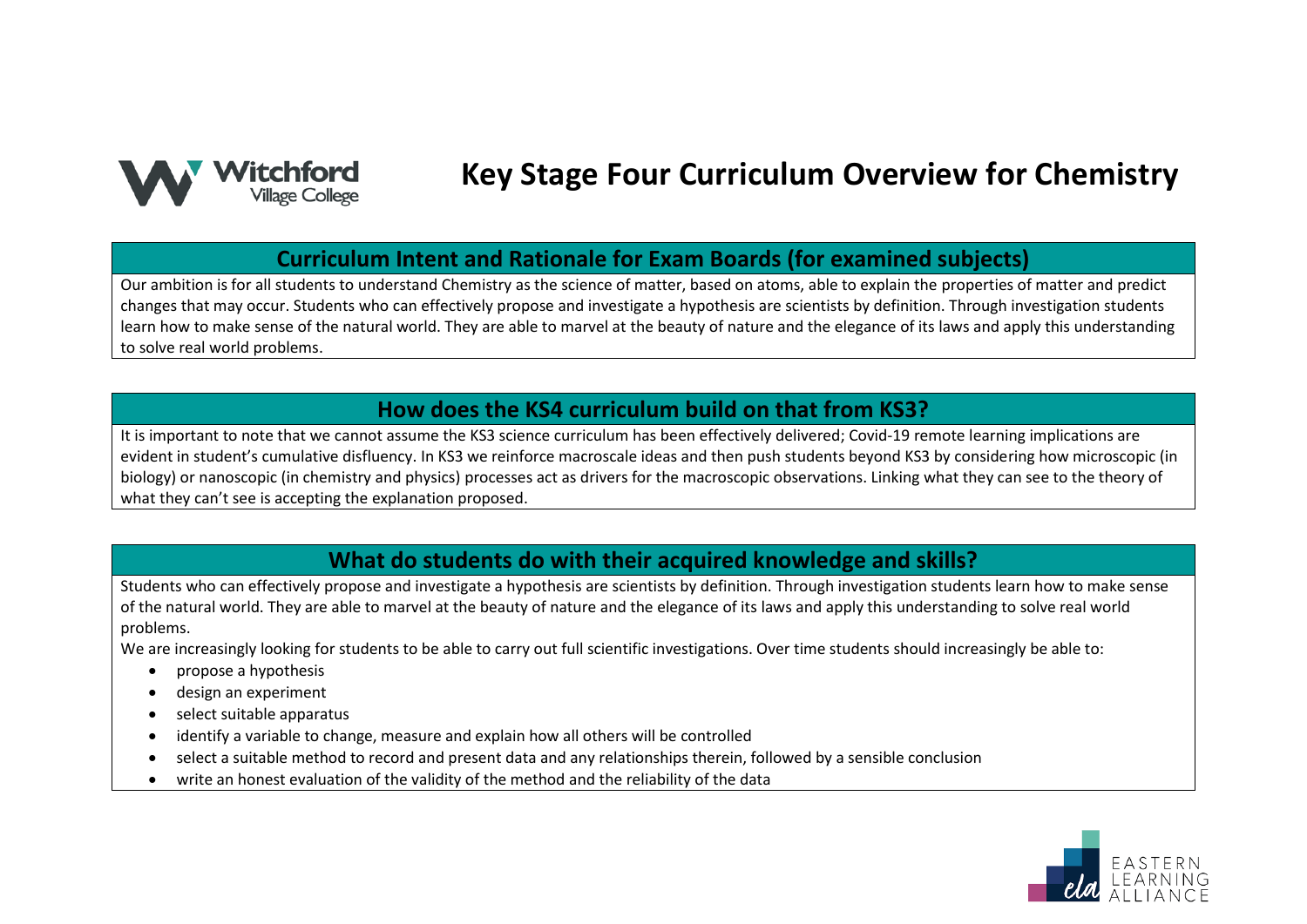

# **Key Stage Four Curriculum Overview for Chemistry**

#### **Curriculum Intent and Rationale for Exam Boards (for examined subjects)**

Our ambition is for all students to understand Chemistry as the science of matter, based on atoms, able to explain the properties of matter and predict changes that may occur. Students who can effectively propose and investigate a hypothesis are scientists by definition. Through investigation students learn how to make sense of the natural world. They are able to marvel at the beauty of nature and the elegance of its laws and apply this understanding to solve real world problems.

#### **How does the KS4 curriculum build on that from KS3?**

It is important to note that we cannot assume the KS3 science curriculum has been effectively delivered; Covid-19 remote learning implications are evident in student's cumulative disfluency. In KS3 we reinforce macroscale ideas and then push students beyond KS3 by considering how microscopic (in biology) or nanoscopic (in chemistry and physics) processes act as drivers for the macroscopic observations. Linking what they can see to the theory of what they can't see is accepting the explanation proposed.

## **What do students do with their acquired knowledge and skills?**

Students who can effectively propose and investigate a hypothesis are scientists by definition. Through investigation students learn how to make sense of the natural world. They are able to marvel at the beauty of nature and the elegance of its laws and apply this understanding to solve real world problems.

We are increasingly looking for students to be able to carry out full scientific investigations. Over time students should increasingly be able to:

- propose a hypothesis
- design an experiment
- select suitable apparatus
- identify a variable to change, measure and explain how all others will be controlled
- select a suitable method to record and present data and any relationships therein, followed by a sensible conclusion
- write an honest evaluation of the validity of the method and the reliability of the data

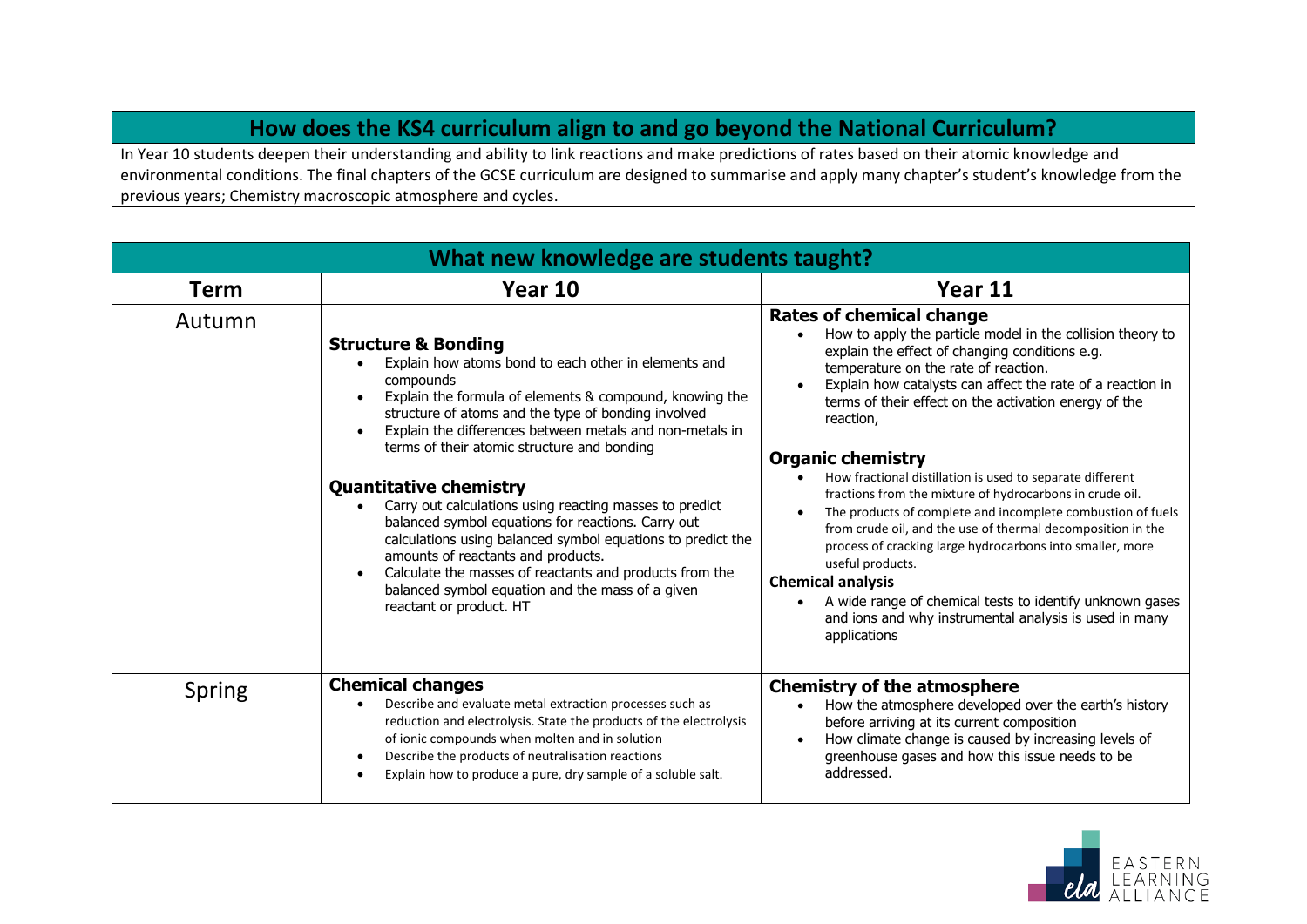# **How does the KS4 curriculum align to and go beyond the National Curriculum?**

In Year 10 students deepen their understanding and ability to link reactions and make predictions of rates based on their atomic knowledge and environmental conditions. The final chapters of the GCSE curriculum are designed to summarise and apply many chapter's student's knowledge from the previous years; Chemistry macroscopic atmosphere and cycles.

| What new knowledge are students taught? |                                                                                                                                                                                                                                                                                                                                                                                                                                                                                                                                                                                                                                                                                                                                   |                                                                                                                                                                                                                                                                                                                                                                                                                                                                                                                                                                                                                                                                                                                                                                                                                                                                                                          |  |
|-----------------------------------------|-----------------------------------------------------------------------------------------------------------------------------------------------------------------------------------------------------------------------------------------------------------------------------------------------------------------------------------------------------------------------------------------------------------------------------------------------------------------------------------------------------------------------------------------------------------------------------------------------------------------------------------------------------------------------------------------------------------------------------------|----------------------------------------------------------------------------------------------------------------------------------------------------------------------------------------------------------------------------------------------------------------------------------------------------------------------------------------------------------------------------------------------------------------------------------------------------------------------------------------------------------------------------------------------------------------------------------------------------------------------------------------------------------------------------------------------------------------------------------------------------------------------------------------------------------------------------------------------------------------------------------------------------------|--|
| <b>Term</b>                             | Year 10                                                                                                                                                                                                                                                                                                                                                                                                                                                                                                                                                                                                                                                                                                                           | Year 11                                                                                                                                                                                                                                                                                                                                                                                                                                                                                                                                                                                                                                                                                                                                                                                                                                                                                                  |  |
| Autumn                                  | <b>Structure &amp; Bonding</b><br>Explain how atoms bond to each other in elements and<br>compounds<br>Explain the formula of elements & compound, knowing the<br>structure of atoms and the type of bonding involved<br>Explain the differences between metals and non-metals in<br>terms of their atomic structure and bonding<br><b>Quantitative chemistry</b><br>Carry out calculations using reacting masses to predict<br>balanced symbol equations for reactions. Carry out<br>calculations using balanced symbol equations to predict the<br>amounts of reactants and products.<br>Calculate the masses of reactants and products from the<br>balanced symbol equation and the mass of a given<br>reactant or product. HT | <b>Rates of chemical change</b><br>How to apply the particle model in the collision theory to<br>$\bullet$<br>explain the effect of changing conditions e.g.<br>temperature on the rate of reaction.<br>Explain how catalysts can affect the rate of a reaction in<br>$\bullet$<br>terms of their effect on the activation energy of the<br>reaction,<br><b>Organic chemistry</b><br>How fractional distillation is used to separate different<br>fractions from the mixture of hydrocarbons in crude oil.<br>The products of complete and incomplete combustion of fuels<br>from crude oil, and the use of thermal decomposition in the<br>process of cracking large hydrocarbons into smaller, more<br>useful products.<br><b>Chemical analysis</b><br>A wide range of chemical tests to identify unknown gases<br>$\bullet$<br>and ions and why instrumental analysis is used in many<br>applications |  |
| Spring                                  | <b>Chemical changes</b><br>Describe and evaluate metal extraction processes such as<br>reduction and electrolysis. State the products of the electrolysis<br>of ionic compounds when molten and in solution<br>Describe the products of neutralisation reactions<br>Explain how to produce a pure, dry sample of a soluble salt.                                                                                                                                                                                                                                                                                                                                                                                                  | <b>Chemistry of the atmosphere</b><br>How the atmosphere developed over the earth's history<br>$\bullet$<br>before arriving at its current composition<br>How climate change is caused by increasing levels of<br>$\bullet$<br>greenhouse gases and how this issue needs to be<br>addressed.                                                                                                                                                                                                                                                                                                                                                                                                                                                                                                                                                                                                             |  |